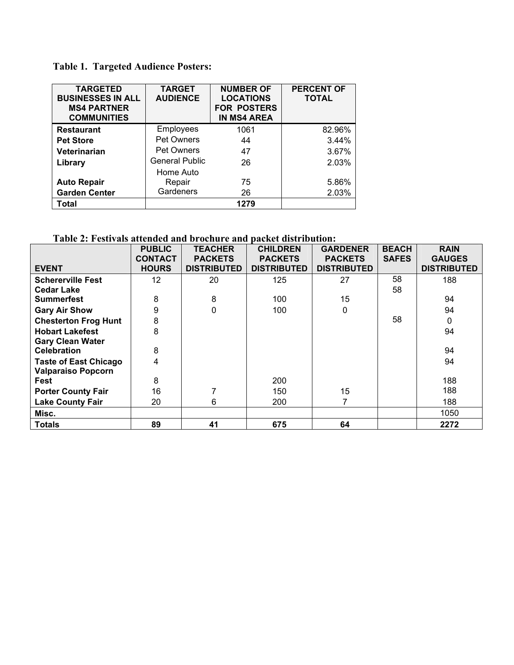## **Table 1. Targeted Audience Posters:**

| <b>TARGETED</b><br><b>BUSINESSES IN ALL</b><br><b>MS4 PARTNER</b><br><b>COMMUNITIES</b> | <b>TARGET</b><br><b>AUDIENCE</b> | <b>NUMBER OF</b><br><b>LOCATIONS</b><br><b>FOR POSTERS</b><br><b>IN MS4 AREA</b> | <b>PERCENT OF</b><br><b>TOTAL</b> |
|-----------------------------------------------------------------------------------------|----------------------------------|----------------------------------------------------------------------------------|-----------------------------------|
| <b>Restaurant</b>                                                                       | Employees                        | 1061                                                                             | 82.96%                            |
| <b>Pet Store</b>                                                                        | <b>Pet Owners</b>                | 44                                                                               | 3.44%                             |
| Veterinarian                                                                            | <b>Pet Owners</b>                | 47                                                                               | 3.67%                             |
| Library                                                                                 | <b>General Public</b>            | 26                                                                               | 2.03%                             |
|                                                                                         | Home Auto                        |                                                                                  |                                   |
| <b>Auto Repair</b>                                                                      | Repair                           | 75                                                                               | 5.86%                             |
| <b>Garden Center</b>                                                                    | Gardeners                        | 26                                                                               | 2.03%                             |
| Total                                                                                   |                                  | 1279                                                                             |                                   |

## **Table 2: Festivals attended and brochure and packet distribution:**

|                              | <b>PUBLIC</b>   | <b>TEACHER</b>     | <b>CHILDREN</b>    | <b>GARDENER</b>    | <b>BEACH</b> | <b>RAIN</b>        |
|------------------------------|-----------------|--------------------|--------------------|--------------------|--------------|--------------------|
|                              | <b>CONTACT</b>  | <b>PACKETS</b>     | <b>PACKETS</b>     | <b>PACKETS</b>     | <b>SAFES</b> | <b>GAUGES</b>      |
| <b>EVENT</b>                 | <b>HOURS</b>    | <b>DISTRIBUTED</b> | <b>DISTRIBUTED</b> | <b>DISTRIBUTED</b> |              | <b>DISTRIBUTED</b> |
| <b>Schererville Fest</b>     | 12 <sup>2</sup> | 20                 | 125                | 27                 | 58           | 188                |
| <b>Cedar Lake</b>            |                 |                    |                    |                    | 58           |                    |
| <b>Summerfest</b>            | 8               | 8                  | 100                | 15                 |              | 94                 |
| <b>Gary Air Show</b>         | 9               | $\mathbf 0$        | 100                | $\mathbf{0}$       |              | 94                 |
| <b>Chesterton Frog Hunt</b>  | 8               |                    |                    |                    | 58           | 0                  |
| <b>Hobart Lakefest</b>       | 8               |                    |                    |                    |              | 94                 |
| <b>Gary Clean Water</b>      |                 |                    |                    |                    |              |                    |
| <b>Celebration</b>           | 8               |                    |                    |                    |              | 94                 |
| <b>Taste of East Chicago</b> | 4               |                    |                    |                    |              | 94                 |
| <b>Valparaiso Popcorn</b>    |                 |                    |                    |                    |              |                    |
| Fest                         | 8               |                    | 200                |                    |              | 188                |
| <b>Porter County Fair</b>    | 16              |                    | 150                | 15                 |              | 188                |
| <b>Lake County Fair</b>      | 20              | 6                  | 200                |                    |              | 188                |
| Misc.                        |                 |                    |                    |                    |              | 1050               |
| <b>Totals</b>                | 89              | 41                 | 675                | 64                 |              | 2272               |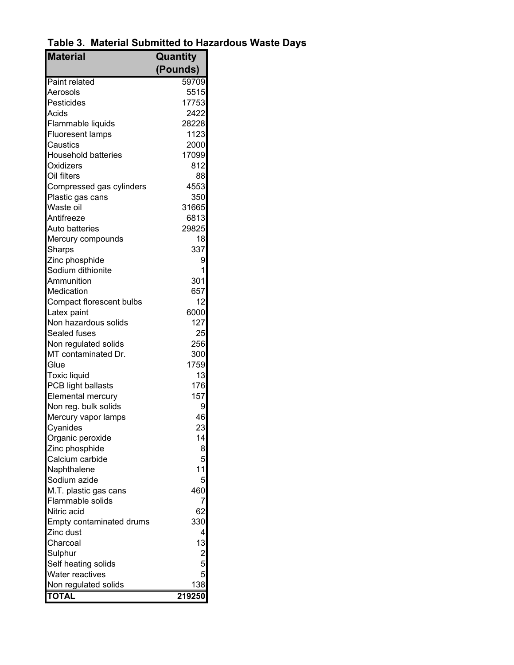**Table 3. Material Submitted to Hazardous Waste Days**

| <b>Material</b>            | Quantity                |
|----------------------------|-------------------------|
|                            | (Pounds)                |
| <b>Paint related</b>       | 59709                   |
| Aerosols                   | 5515                    |
| Pesticides                 | 17753                   |
| Acids                      | 2422                    |
| Flammable liquids          | 28228                   |
| <b>Fluoresent lamps</b>    | 1123                    |
| Caustics                   | 2000                    |
| <b>Household batteries</b> | 17099                   |
| Oxidizers                  | 812                     |
| Oil filters                | 88                      |
| Compressed gas cylinders   | 4553                    |
| Plastic gas cans           | 350                     |
| Waste oil                  | 31665                   |
| Antifreeze                 | 6813                    |
| Auto batteries             | 29825                   |
| Mercury compounds          | 18                      |
| Sharps                     | 337                     |
| Zinc phosphide             | 9                       |
| Sodium dithionite          | 1                       |
| Ammunition                 | 301                     |
| Medication                 | 657                     |
| Compact florescent bulbs   | 12                      |
| Latex paint                | 6000                    |
| Non hazardous solids       | 127                     |
| Sealed fuses               | 25                      |
| Non regulated solids       | 256                     |
| MT contaminated Dr.        | 300                     |
| Glue                       | 1759                    |
| <b>Toxic liquid</b>        | 13                      |
| PCB light ballasts         | 176                     |
| Elemental mercury          | 157                     |
| Non reg. bulk solids       | 9                       |
| Mercury vapor lamps        | 46                      |
| Cyanides                   | 23                      |
| Organic peroxide           | 14                      |
| Zinc phosphide             | 8                       |
| Calcium carbide            | 5                       |
| Naphthalene                | 11                      |
| Sodium azide               | 5                       |
| M.T. plastic gas cans      | 460                     |
| Flammable solids           | 7                       |
| Nitric acid                | 62                      |
| Empty contaminated drums   | 330                     |
| Zinc dust                  | 4                       |
| Charcoal                   | 13                      |
| Sulphur                    | $\overline{\mathbf{c}}$ |
| Self heating solids        | 5                       |
| Water reactives            | 5                       |
| Non regulated solids       | 138                     |
| <b>TOTAL</b>               | 219250                  |